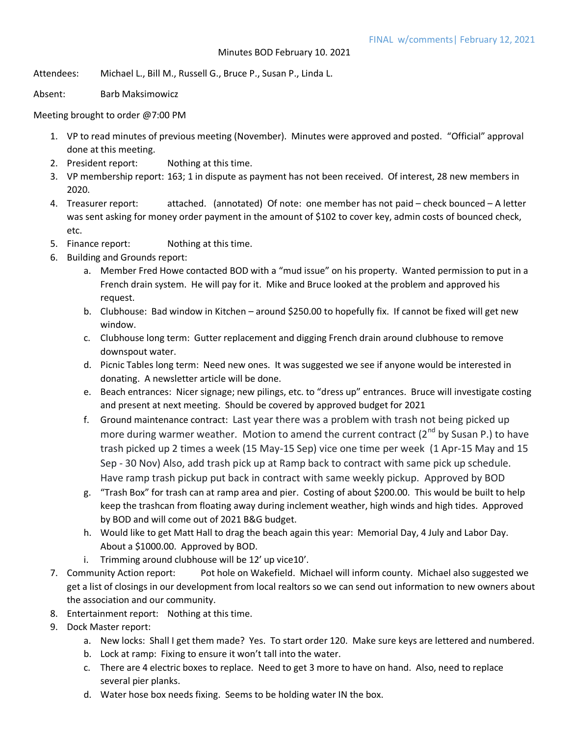Attendees: Michael L., Bill M., Russell G., Bruce P., Susan P., Linda L.

Absent: Barb Maksimowicz

Meeting brought to order @7:00 PM

- 1. VP to read minutes of previous meeting (November). Minutes were approved and posted. "Official" approval done at this meeting.
- 2. President report: Nothing at this time.
- 3. VP membership report: 163; 1 in dispute as payment has not been received. Of interest, 28 new members in 2020.
- 4. Treasurer report: attached. (annotated) Of note: one member has not paid check bounced A letter was sent asking for money order payment in the amount of \$102 to cover key, admin costs of bounced check, etc.
- 5. Finance report: Nothing at this time.
- 6. Building and Grounds report:
	- a. Member Fred Howe contacted BOD with a "mud issue" on his property. Wanted permission to put in a French drain system. He will pay for it. Mike and Bruce looked at the problem and approved his request.
	- b. Clubhouse: Bad window in Kitchen around \$250.00 to hopefully fix. If cannot be fixed will get new window.
	- c. Clubhouse long term: Gutter replacement and digging French drain around clubhouse to remove downspout water.
	- d. Picnic Tables long term: Need new ones. It was suggested we see if anyone would be interested in donating. A newsletter article will be done.
	- e. Beach entrances: Nicer signage; new pilings, etc. to "dress up" entrances. Bruce will investigate costing and present at next meeting. Should be covered by approved budget for 2021
	- f. Ground maintenance contract: Last year there was a problem with trash not being picked up more during warmer weather. Motion to amend the current contract (2<sup>nd</sup> by Susan P.) to have trash picked up 2 times a week (15 May-15 Sep) vice one time per week (1 Apr-15 May and 15 Sep - 30 Nov) Also, add trash pick up at Ramp back to contract with same pick up schedule. Have ramp trash pickup put back in contract with same weekly pickup. Approved by BOD
	- g. "Trash Box" for trash can at ramp area and pier. Costing of about \$200.00. This would be built to help keep the trashcan from floating away during inclement weather, high winds and high tides. Approved by BOD and will come out of 2021 B&G budget.
	- h. Would like to get Matt Hall to drag the beach again this year: Memorial Day, 4 July and Labor Day. About a \$1000.00. Approved by BOD.
	- i. Trimming around clubhouse will be 12' up vice10'.
- 7. Community Action report: Pot hole on Wakefield. Michael will inform county. Michael also suggested we get a list of closings in our development from local realtors so we can send out information to new owners about the association and our community.
- 8. Entertainment report: Nothing at this time.
- 9. Dock Master report:
	- a. New locks: Shall I get them made? Yes. To start order 120. Make sure keys are lettered and numbered.
	- b. Lock at ramp: Fixing to ensure it won't tall into the water.
	- c. There are 4 electric boxes to replace. Need to get 3 more to have on hand. Also, need to replace several pier planks.
	- d. Water hose box needs fixing. Seems to be holding water IN the box.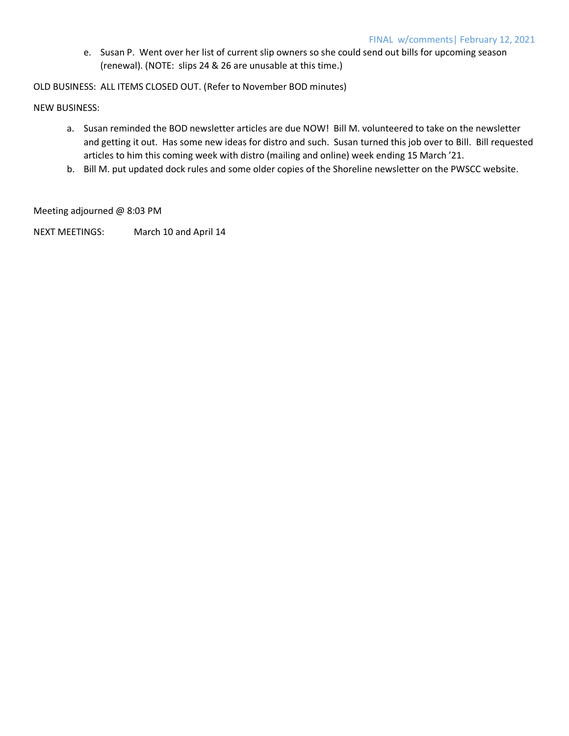e. Susan P. Went over her list of current slip owners so she could send out bills for upcoming season (renewal). (NOTE: slips 24 & 26 are unusable at this time.)

OLD BUSINESS: ALL ITEMS CLOSED OUT. (Refer to November BOD minutes)

NEW BUSINESS:

- a. Susan reminded the BOD newsletter articles are due NOW! Bill M. volunteered to take on the newsletter and getting it out. Has some new ideas for distro and such. Susan turned this job over to Bill. Bill requested articles to him this coming week with distro (mailing and online) week ending 15 March '21.
- b. Bill M. put updated dock rules and some older copies of the Shoreline newsletter on the PWSCC website.

Meeting adjourned @ 8:03 PM

NEXT MEETINGS: March 10 and April 14